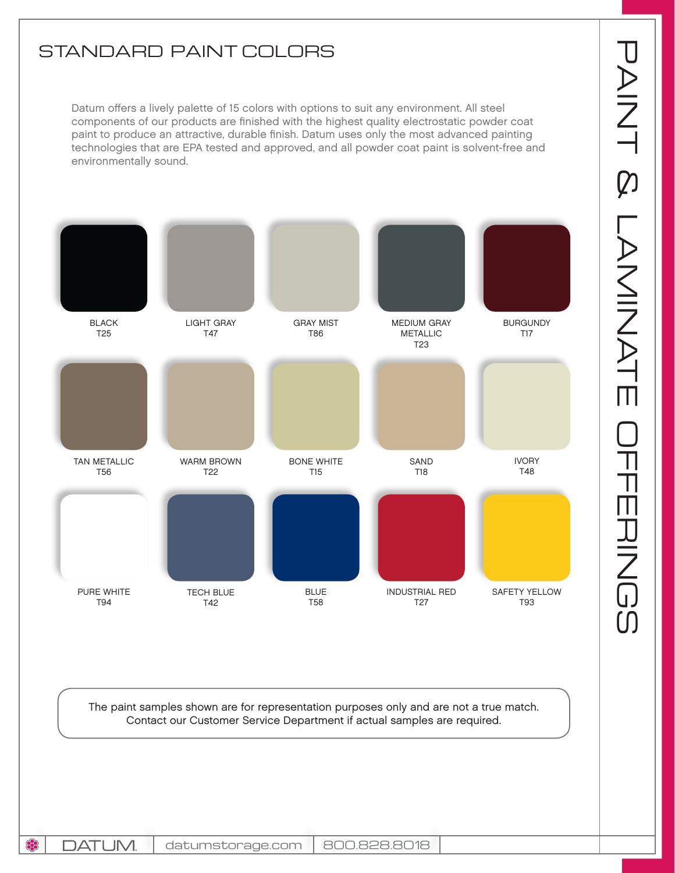## STANDARD PAINT COLORS

Datum offers a lively palette of 15 colors with options to suit any environment. All steel components of our products are finished with the highest quality electrostatic powder coat paint to produce an attractive, durable finish. Datum uses only the most advanced painting technologies that are EPA tested and approved, and all powder coat paint is solvent-free and environmentally sound.



The paint samples shown are for representation purposes only and are not a true match. Contact our Customer Service Department if actual samples are required.

83